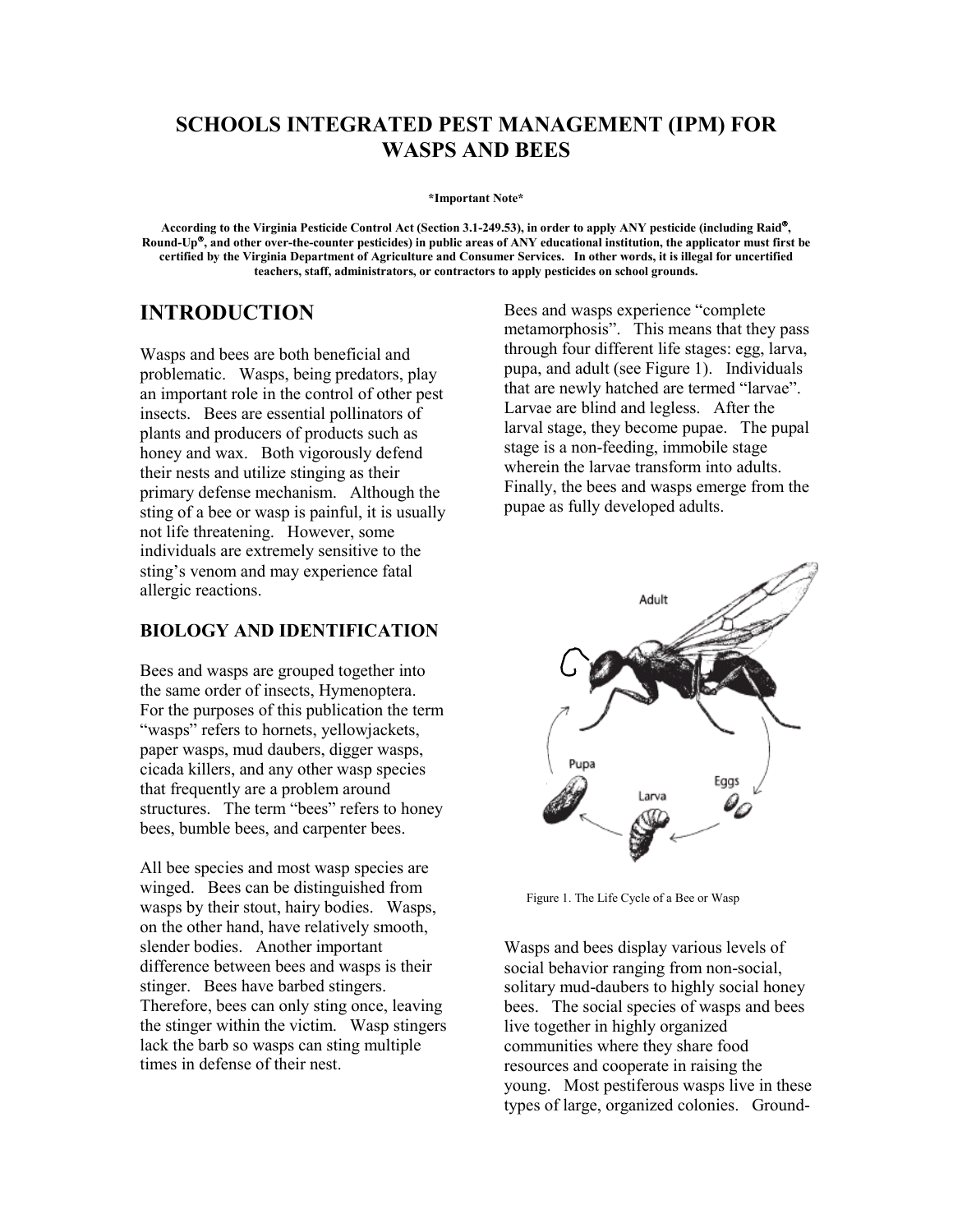# **SCHOOLS INTEGRATED PEST MANAGEMENT (IPM) FOR WASPS AND BEES**

**\*Important Note\*** 

**According to the Virginia Pesticide Control Act (Section 3.1-249.53), in order to apply ANY pesticide (including Raid, Round-Up, and other over-the-counter pesticides) in public areas of ANY educational institution, the applicator must first be certified by the Virginia Department of Agriculture and Consumer Services. In other words, it is illegal for uncertified teachers, staff, administrators, or contractors to apply pesticides on school grounds.**

Wasps and bees are both beneficial and problematic. Wasps, being predators, play an important role in the control of other pest insects. Bees are essential pollinators of plants and producers of products such as honey and wax. Both vigorously defend their nests and utilize stinging as their primary defense mechanism. Although the sting of a bee or wasp is painful, it is usually not life threatening. However, some individuals are extremely sensitive to the sting's venom and may experience fatal allergic reactions.

## **BIOLOGY AND IDENTIFICATION**

Bees and wasps are grouped together into the same order of insects, Hymenoptera. For the purposes of this publication the term "wasps" refers to hornets, yellowjackets, paper wasps, mud daubers, digger wasps, cicada killers, and any other wasp species that frequently are a problem around structures. The term "bees" refers to honey bees, bumble bees, and carpenter bees.

All bee species and most wasp species are winged. Bees can be distinguished from wasps by their stout, hairy bodies. Wasps, on the other hand, have relatively smooth, slender bodies. Another important difference between bees and wasps is their stinger. Bees have barbed stingers. Therefore, bees can only sting once, leaving the stinger within the victim. Wasp stingers lack the barb so wasps can sting multiple times in defense of their nest.

**INTRODUCTION** Bees and wasps experience "complete metamorphosis". This means that they pass through four different life stages: egg, larva, pupa, and adult (see Figure 1). Individuals that are newly hatched are termed "larvae". Larvae are blind and legless. After the larval stage, they become pupae. The pupal stage is a non-feeding, immobile stage wherein the larvae transform into adults. Finally, the bees and wasps emerge from the pupae as fully developed adults.



Figure 1. The Life Cycle of a Bee or Wasp

Wasps and bees display various levels of social behavior ranging from non-social, solitary mud-daubers to highly social honey bees. The social species of wasps and bees live together in highly organized communities where they share food resources and cooperate in raising the young. Most pestiferous wasps live in these types of large, organized colonies. Ground-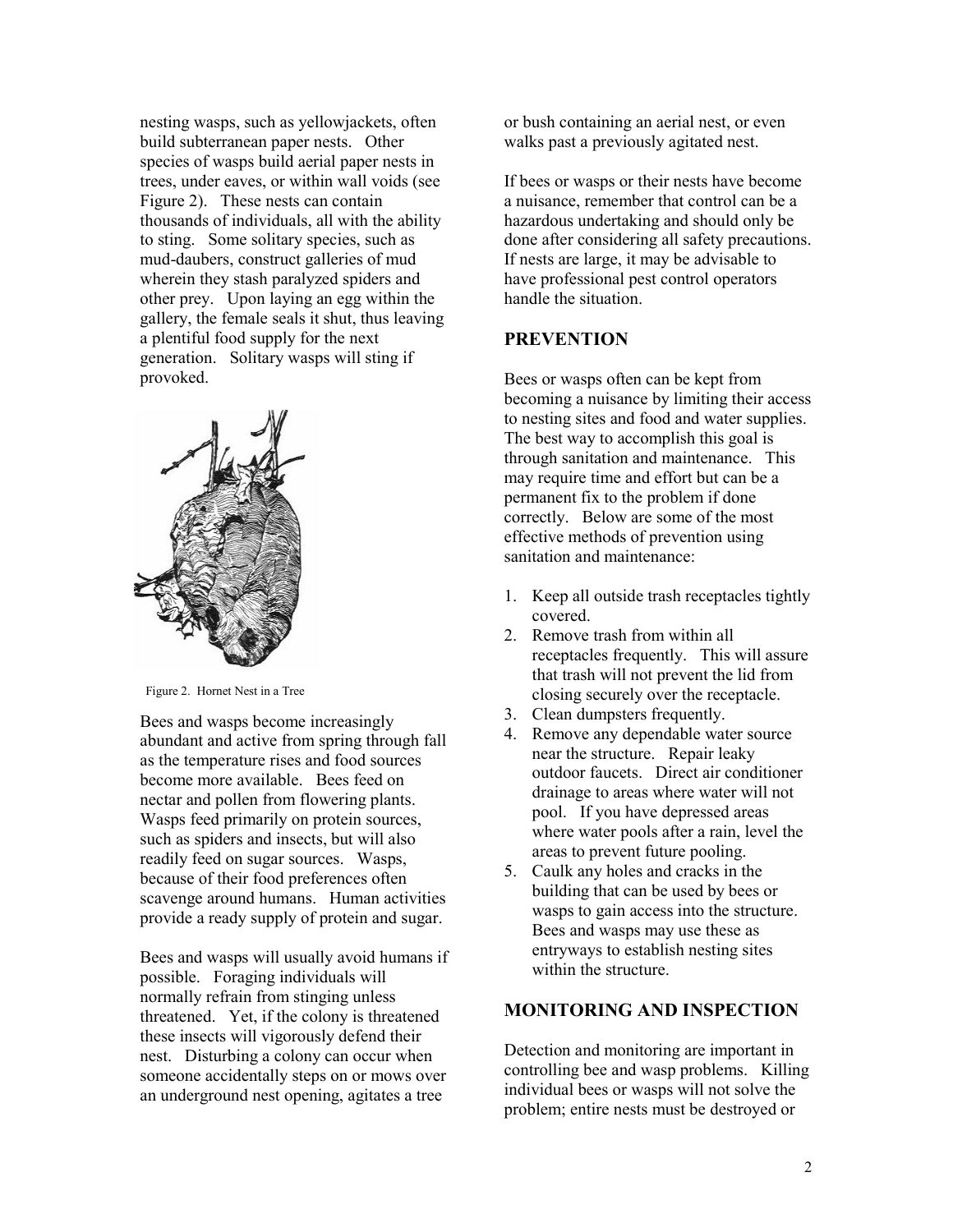nesting wasps, such as yellowjackets, often build subterranean paper nests. Other species of wasps build aerial paper nests in trees, under eaves, or within wall voids (see Figure 2). These nests can contain thousands of individuals, all with the ability to sting. Some solitary species, such as mud-daubers, construct galleries of mud wherein they stash paralyzed spiders and other prey. Upon laying an egg within the gallery, the female seals it shut, thus leaving a plentiful food supply for the next generation. Solitary wasps will sting if provoked.



Bees and wasps become increasingly abundant and active from spring through fall as the temperature rises and food sources become more available. Bees feed on nectar and pollen from flowering plants. Wasps feed primarily on protein sources, such as spiders and insects, but will also readily feed on sugar sources. Wasps, because of their food preferences often scavenge around humans. Human activities provide a ready supply of protein and sugar.

Bees and wasps will usually avoid humans if possible. Foraging individuals will normally refrain from stinging unless threatened. Yet, if the colony is threatened these insects will vigorously defend their nest. Disturbing a colony can occur when someone accidentally steps on or mows over an underground nest opening, agitates a tree

or bush containing an aerial nest, or even walks past a previously agitated nest.

If bees or wasps or their nests have become a nuisance, remember that control can be a hazardous undertaking and should only be done after considering all safety precautions. If nests are large, it may be advisable to have professional pest control operators handle the situation.

#### **PREVENTION**

Bees or wasps often can be kept from becoming a nuisance by limiting their access to nesting sites and food and water supplies. The best way to accomplish this goal is through sanitation and maintenance. This may require time and effort but can be a permanent fix to the problem if done correctly. Below are some of the most effective methods of prevention using sanitation and maintenance:

- 1. Keep all outside trash receptacles tightly covered.
- 2. Remove trash from within all receptacles frequently. This will assure that trash will not prevent the lid from Figure 2. Hornet Nest in a Tree<br>closing securely over the receptacle.
	- 3. Clean dumpsters frequently.
	- 4. Remove any dependable water source near the structure. Repair leaky outdoor faucets. Direct air conditioner drainage to areas where water will not pool. If you have depressed areas where water pools after a rain, level the areas to prevent future pooling.
	- 5. Caulk any holes and cracks in the building that can be used by bees or wasps to gain access into the structure. Bees and wasps may use these as entryways to establish nesting sites within the structure.

#### **MONITORING AND INSPECTION**

Detection and monitoring are important in controlling bee and wasp problems. Killing individual bees or wasps will not solve the problem; entire nests must be destroyed or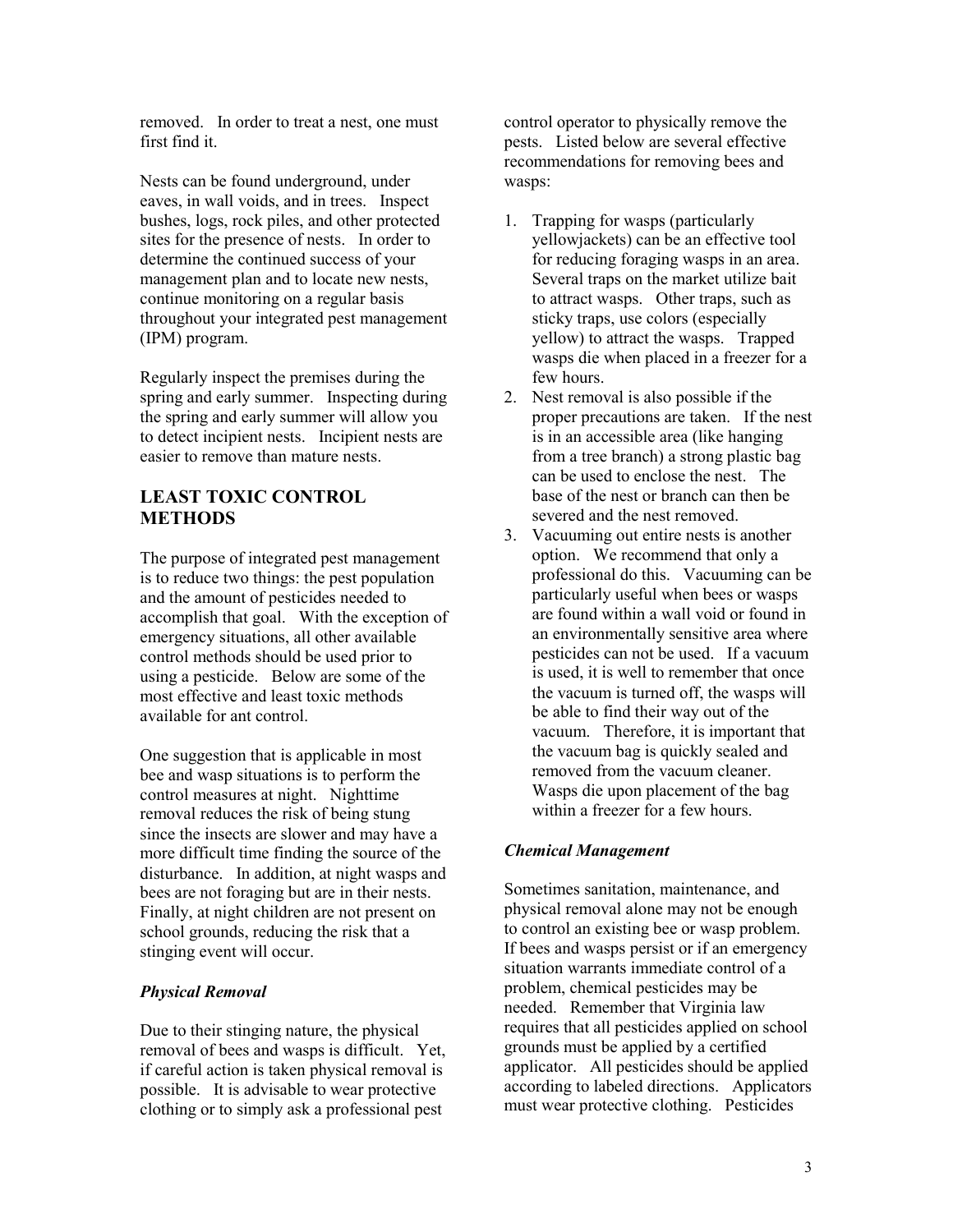removed. In order to treat a nest, one must first find it.

Nests can be found underground, under eaves, in wall voids, and in trees. Inspect bushes, logs, rock piles, and other protected sites for the presence of nests. In order to determine the continued success of your management plan and to locate new nests, continue monitoring on a regular basis throughout your integrated pest management (IPM) program.

Regularly inspect the premises during the spring and early summer. Inspecting during the spring and early summer will allow you to detect incipient nests. Incipient nests are easier to remove than mature nests.

# **LEAST TOXIC CONTROL METHODS**

The purpose of integrated pest management is to reduce two things: the pest population and the amount of pesticides needed to accomplish that goal. With the exception of emergency situations, all other available control methods should be used prior to using a pesticide. Below are some of the most effective and least toxic methods available for ant control.

One suggestion that is applicable in most bee and wasp situations is to perform the control measures at night. Nighttime removal reduces the risk of being stung since the insects are slower and may have a more difficult time finding the source of the disturbance. In addition, at night wasps and bees are not foraging but are in their nests. Finally, at night children are not present on school grounds, reducing the risk that a stinging event will occur.

### *Physical Removal*

Due to their stinging nature, the physical removal of bees and wasps is difficult. Yet, if careful action is taken physical removal is possible. It is advisable to wear protective clothing or to simply ask a professional pest

control operator to physically remove the pests. Listed below are several effective recommendations for removing bees and wasps:

- 1. Trapping for wasps (particularly yellowjackets) can be an effective tool for reducing foraging wasps in an area. Several traps on the market utilize bait to attract wasps. Other traps, such as sticky traps, use colors (especially yellow) to attract the wasps. Trapped wasps die when placed in a freezer for a few hours.
- 2. Nest removal is also possible if the proper precautions are taken. If the nest is in an accessible area (like hanging from a tree branch) a strong plastic bag can be used to enclose the nest. The base of the nest or branch can then be severed and the nest removed.
- 3. Vacuuming out entire nests is another option. We recommend that only a professional do this. Vacuuming can be particularly useful when bees or wasps are found within a wall void or found in an environmentally sensitive area where pesticides can not be used. If a vacuum is used, it is well to remember that once the vacuum is turned off, the wasps will be able to find their way out of the vacuum. Therefore, it is important that the vacuum bag is quickly sealed and removed from the vacuum cleaner. Wasps die upon placement of the bag within a freezer for a few hours.

### *Chemical Management*

Sometimes sanitation, maintenance, and physical removal alone may not be enough to control an existing bee or wasp problem. If bees and wasps persist or if an emergency situation warrants immediate control of a problem, chemical pesticides may be needed. Remember that Virginia law requires that all pesticides applied on school grounds must be applied by a certified applicator. All pesticides should be applied according to labeled directions. Applicators must wear protective clothing. Pesticides